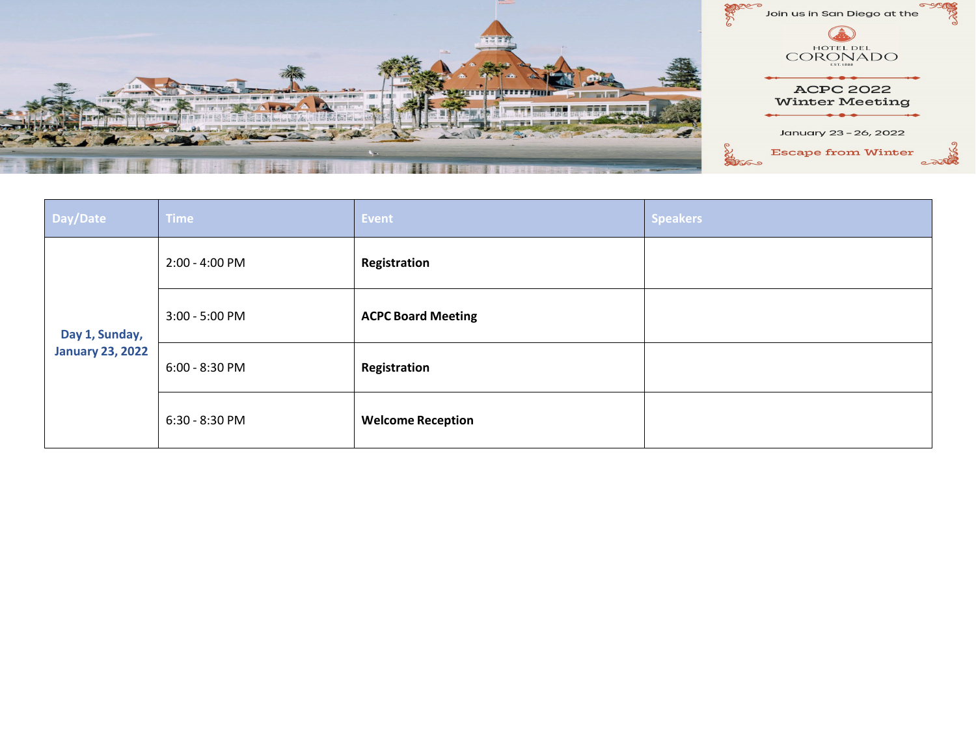

| Day/Date                                  | <b>Time</b>    | Event                     | <b>Speakers</b> |
|-------------------------------------------|----------------|---------------------------|-----------------|
| Day 1, Sunday,<br><b>January 23, 2022</b> | 2:00 - 4:00 PM | Registration              |                 |
|                                           | 3:00 - 5:00 PM | <b>ACPC Board Meeting</b> |                 |
|                                           | 6:00 - 8:30 PM | Registration              |                 |
|                                           | 6:30 - 8:30 PM | <b>Welcome Reception</b>  |                 |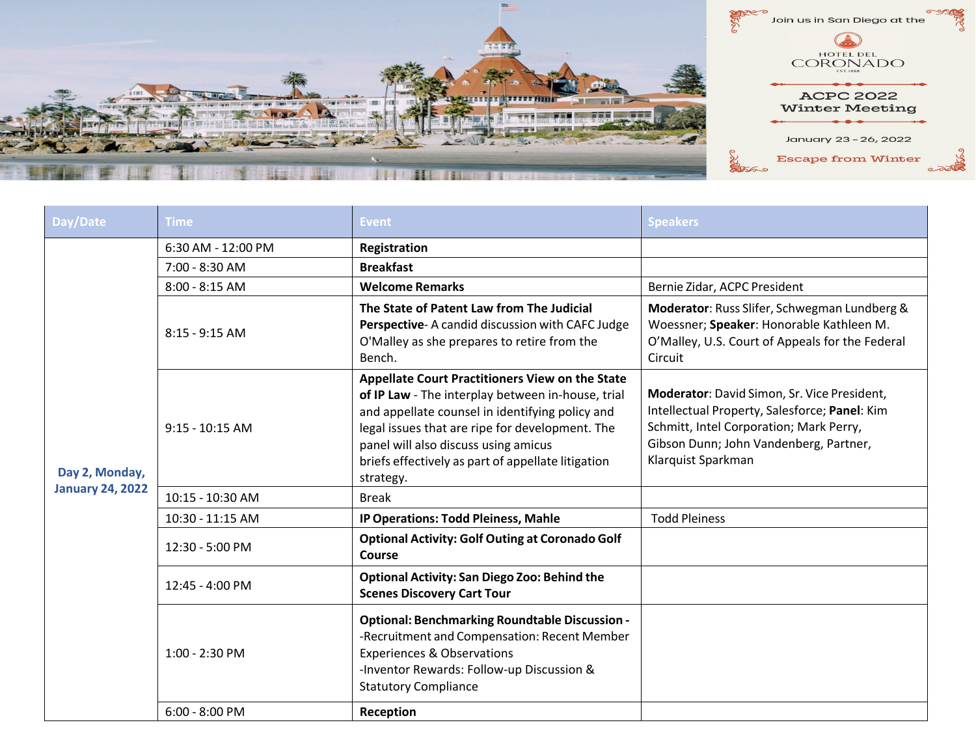

| Day/Date                | Time               | <b>Event</b>                                                                                                                                                                                                                                                                                                          | <b>Speakers</b>                                                                                                                                                                                         |
|-------------------------|--------------------|-----------------------------------------------------------------------------------------------------------------------------------------------------------------------------------------------------------------------------------------------------------------------------------------------------------------------|---------------------------------------------------------------------------------------------------------------------------------------------------------------------------------------------------------|
| Day 2, Monday,          | 6:30 AM - 12:00 PM | Registration                                                                                                                                                                                                                                                                                                          |                                                                                                                                                                                                         |
|                         | 7:00 - 8:30 AM     | <b>Breakfast</b>                                                                                                                                                                                                                                                                                                      |                                                                                                                                                                                                         |
|                         | $8:00 - 8:15$ AM   | <b>Welcome Remarks</b>                                                                                                                                                                                                                                                                                                | Bernie Zidar, ACPC President                                                                                                                                                                            |
|                         | $8:15 - 9:15$ AM   | The State of Patent Law from The Judicial<br>Perspective-A candid discussion with CAFC Judge<br>O'Malley as she prepares to retire from the<br>Bench.                                                                                                                                                                 | Moderator: Russ Slifer, Schwegman Lundberg &<br>Woessner; Speaker: Honorable Kathleen M.<br>O'Malley, U.S. Court of Appeals for the Federal<br>Circuit                                                  |
|                         | $9:15 - 10:15$ AM  | Appellate Court Practitioners View on the State<br>of IP Law - The interplay between in-house, trial<br>and appellate counsel in identifying policy and<br>legal issues that are ripe for development. The<br>panel will also discuss using amicus<br>briefs effectively as part of appellate litigation<br>strategy. | Moderator: David Simon, Sr. Vice President,<br>Intellectual Property, Salesforce; Panel: Kim<br>Schmitt, Intel Corporation; Mark Perry,<br>Gibson Dunn; John Vandenberg, Partner,<br>Klarquist Sparkman |
| <b>January 24, 2022</b> | 10:15 - 10:30 AM   | <b>Break</b>                                                                                                                                                                                                                                                                                                          |                                                                                                                                                                                                         |
|                         | 10:30 - 11:15 AM   | IP Operations: Todd Pleiness, Mahle                                                                                                                                                                                                                                                                                   | <b>Todd Pleiness</b>                                                                                                                                                                                    |
|                         | 12:30 - 5:00 PM    | <b>Optional Activity: Golf Outing at Coronado Golf</b><br>Course                                                                                                                                                                                                                                                      |                                                                                                                                                                                                         |
|                         | 12:45 - 4:00 PM    | <b>Optional Activity: San Diego Zoo: Behind the</b><br><b>Scenes Discovery Cart Tour</b>                                                                                                                                                                                                                              |                                                                                                                                                                                                         |
|                         | 1:00 - 2:30 PM     | <b>Optional: Benchmarking Roundtable Discussion -</b><br>-Recruitment and Compensation: Recent Member<br><b>Experiences &amp; Observations</b><br>-Inventor Rewards: Follow-up Discussion &<br><b>Statutory Compliance</b>                                                                                            |                                                                                                                                                                                                         |
|                         | $6:00 - 8:00$ PM   | Reception                                                                                                                                                                                                                                                                                                             |                                                                                                                                                                                                         |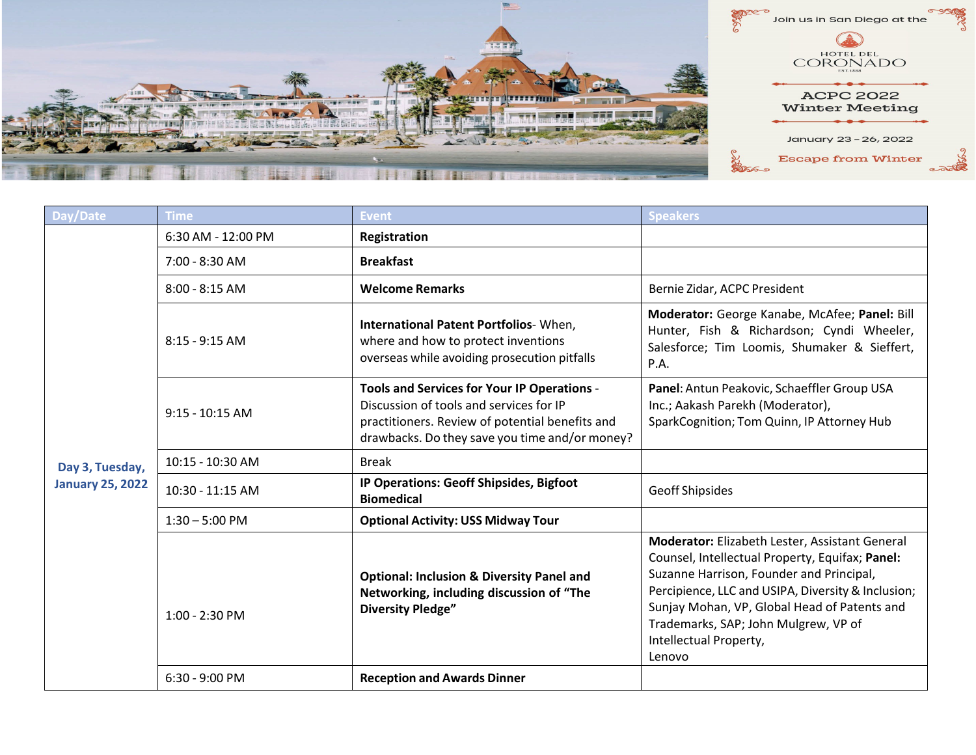

| Day/Date                | Time                 | <b>Event</b>                                                                                                                                                                                | <b>Speakers</b>                                                                                                                                                                                                                                                                                                                 |
|-------------------------|----------------------|---------------------------------------------------------------------------------------------------------------------------------------------------------------------------------------------|---------------------------------------------------------------------------------------------------------------------------------------------------------------------------------------------------------------------------------------------------------------------------------------------------------------------------------|
|                         | $6:30$ AM - 12:00 PM | Registration                                                                                                                                                                                |                                                                                                                                                                                                                                                                                                                                 |
|                         | 7:00 - 8:30 AM       | <b>Breakfast</b>                                                                                                                                                                            |                                                                                                                                                                                                                                                                                                                                 |
|                         | $8:00 - 8:15$ AM     | <b>Welcome Remarks</b>                                                                                                                                                                      | Bernie Zidar, ACPC President                                                                                                                                                                                                                                                                                                    |
|                         | $8:15 - 9:15$ AM     | International Patent Portfolios-When,<br>where and how to protect inventions<br>overseas while avoiding prosecution pitfalls                                                                | Moderator: George Kanabe, McAfee; Panel: Bill<br>Hunter, Fish & Richardson; Cyndi Wheeler,<br>Salesforce; Tim Loomis, Shumaker & Sieffert,<br>P.A.                                                                                                                                                                              |
|                         | $9:15 - 10:15$ AM    | Tools and Services for Your IP Operations -<br>Discussion of tools and services for IP<br>practitioners. Review of potential benefits and<br>drawbacks. Do they save you time and/or money? | Panel: Antun Peakovic, Schaeffler Group USA<br>Inc.; Aakash Parekh (Moderator),<br>SparkCognition; Tom Quinn, IP Attorney Hub                                                                                                                                                                                                   |
| Day 3, Tuesday,         | 10:15 - 10:30 AM     | <b>Break</b>                                                                                                                                                                                |                                                                                                                                                                                                                                                                                                                                 |
| <b>January 25, 2022</b> | 10:30 - 11:15 AM     | IP Operations: Geoff Shipsides, Bigfoot<br><b>Biomedical</b>                                                                                                                                | Geoff Shipsides                                                                                                                                                                                                                                                                                                                 |
|                         | $1:30 - 5:00$ PM     | <b>Optional Activity: USS Midway Tour</b>                                                                                                                                                   |                                                                                                                                                                                                                                                                                                                                 |
|                         | 1:00 - 2:30 PM       | <b>Optional: Inclusion &amp; Diversity Panel and</b><br>Networking, including discussion of "The<br><b>Diversity Pledge"</b>                                                                | Moderator: Elizabeth Lester, Assistant General<br>Counsel, Intellectual Property, Equifax; Panel:<br>Suzanne Harrison, Founder and Principal,<br>Percipience, LLC and USIPA, Diversity & Inclusion;<br>Sunjay Mohan, VP, Global Head of Patents and<br>Trademarks, SAP; John Mulgrew, VP of<br>Intellectual Property,<br>Lenovo |
|                         | $6:30 - 9:00$ PM     | <b>Reception and Awards Dinner</b>                                                                                                                                                          |                                                                                                                                                                                                                                                                                                                                 |